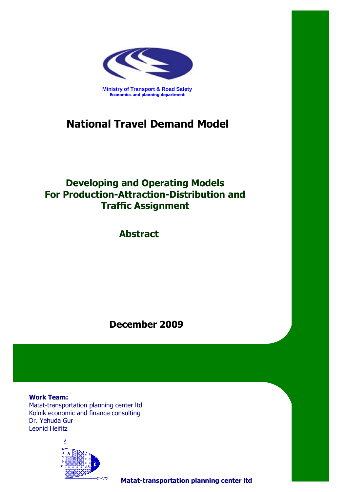

# **National Travel Demand Model**

## **Developing and Operating Models For Production-Attraction-Distribution and Traffic Assignment**

**Abstract**

**December 0229**

**Work Team:** Matat-transportation planning center ltd Kolnik economic and finance consulting Dr. Yehuda Gur Leonid Heifitz



**Matat-transportation planning center ltd**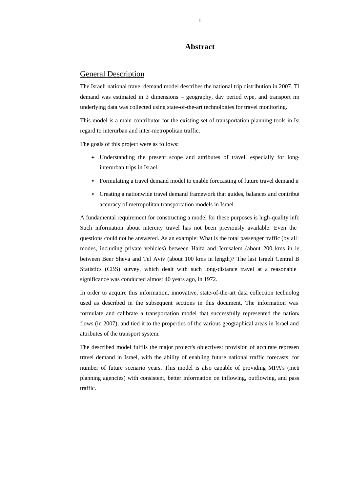### **Abstract**

## General Description

The Israeli national travel demand model describes the national trip distribution in 2007. Th demand was estimated in 3 dimensions – geography, day period type, and transport mo underlying data was collected using state-of-the-art technologies for travel monitoring.

This model is a main contributor for the existing set of transportation planning tools in Isr regard to interurban and inter-metropolitan traffic.

The goals of this project were as follows:

- Understanding the present scope and attributes of travel, especially for longinterurban trips in Israel.
- Formulating a travel demand model to enable forecasting of future travel demand in
- Creating a nationwide travel demand framework that guides, balances and contribut accuracy of metropolitan transportation models in Israel.

A fundamental requirement for constructing a model for these purposes is high-quality info Such information about intercity travel has not been previously available. Even the questions could not be answered. As an example: What is the total passenger traffic (by all modes, including private vehicles) between Haifa and Jerusalem (about 200 kms in le between Beer Sheva and Tel Aviv (about 100 kms in length)? The last Israeli Central B Statistics (CBS) survey, which dealt with such long-distance travel at a reasonable significance was conducted almost 40 years ago, in 1972.

In order to acquire this information, innovative, state-of-the-art data collection technolog used as described in the subsequent sections in this document. The information was formulate and calibrate a transportation model that successfully represented the nationa flows (in 2007), and tied it to the properties of the various geographical areas in Israel and attributes of the transport system.

The described model fulfils the major project's objectives: provision of accurate represen travel demand in Israel, with the ability of enabling future national traffic forecasts, for number of future scenario years. This model is also capable of providing MPA's (metropology) planning agencies) with consistent, better information on inflowing, outflowing, and pass traffic.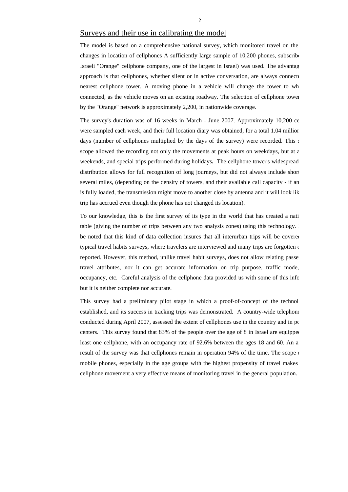## Surveys and their use in calibrating the model

The model is based on a comprehensive national survey, which monitored travel on the changes in location of cellphones A sufficiently large sample of 10,200 phones, subscribe Israeli "Orange" cellphone company, one of the largest in Israel) was used. The advantag approach is that cellphones, whether silent or in active conversation, are always connectornearest cellphone tower. A moving phone in a vehicle will change the tower to wh connected, as the vehicle moves on an existing roadway. The selection of cellphone tower by the "Orange" network is approximately 2,200, in nationwide coverage.

The survey's duration was of 16 weeks in March - June 2007. Approximately 10,200 ce were sampled each week, and their full location diary was obtained, for a total 1.04 million days (number of cellphones multiplied by the days of the survey) were recorded. This  $\epsilon$ scope allowed the recording not only the movements at peak hours on weekdays, but at  $\epsilon$ weekends, and special trips performed during holidays**.** The cellphone tower's widespread distribution allows for full recognition of long journeys, but did not always include short several miles, (depending on the density of towers, and their available call capacity - if an is fully loaded, the transmission might move to another close by antenna and it will look lik trip has accrued even though the phone has not changed its location).

To our knowledge, this is the first survey of its type in the world that has created a nati table (giving the number of trips between any two analysis zones) using this technology. I be noted that this kind of data collection insures that all interurban trips will be covered typical travel habits surveys, where travelers are interviewed and many trips are forgotten  $\epsilon$ reported. However, this method, unlike travel habit surveys, does not allow relating passe travel attributes, nor it can get accurate information on trip purpose, traffic mode, occupancy, etc. Careful analysis of the cellphone data provided us with some of this info but it is neither complete nor accurate.

This survey had a preliminary pilot stage in which a proof-of-concept of the technol established, and its success in tracking trips was demonstrated. A country-wide telephone conducted during April 2007, assessed the extent of cellphones use in the country and in position centers. This survey found that  $83\%$  of the people over the age of 8 in Israel are equipped least one cellphone, with an occupancy rate of 92.6% between the ages 18 and 60. An a result of the survey was that cellphones remain in operation 94% of the time. The scope  $\alpha$ mobile phones, especially in the age groups with the highest propensity of travel makes cellphone movement a very effective means of monitoring travel in the general population.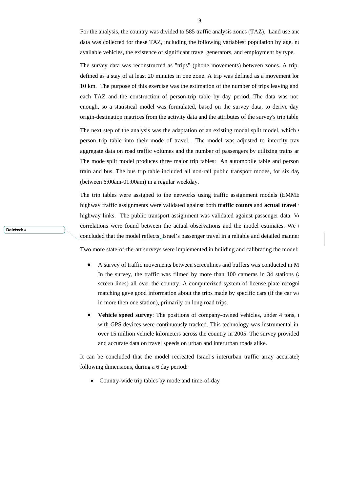For the analysis, the country was divided to 585 traffic analysis zones (TAZ). Land use and data was collected for these TAZ, including the following variables: population by age, nu available vehicles, the existence of significant travel generators, and employment by type.

The survey data was reconstructed as "trips" (phone movements) between zones. A trip defined as a stay of at least 20 minutes in one zone. A trip was defined as a movement lon 10 km. The purpose of this exercise was the estimation of the number of trips leaving and each TAZ and the construction of person-trip table by day period. The data was not enough, so a statistical model was formulated, based on the survey data, to derive day origin-destination matrices from the activity data and the attributes of the survey's trip table

The next step of the analysis was the adaptation of an existing modal split model, which  $\epsilon$ person trip table into their mode of travel. The model was adjusted to intercity trav aggregate data on road traffic volumes and the number of passengers by utilizing trains an The mode split model produces three major trip tables: An automobile table and person train and bus. The bus trip table included all non-rail public transport modes, for six day (between 6:00am-01:00am) in a regular weekday.

The trip tables were assigned to the networks using traffic assignment models (EMME highway traffic assignments were validated against both **traffic counts** and **actual travel t** highway links. The public transport assignment was validated against passenger data. Ve correlations were found between the actual observations and the model estimates. We t concluded that the model reflects Israel's passenger travel in a reliable and detailed manner Two more state-of-the-art surveys were implemented in building and calibrating the model:

- A survey of traffic movements between screenlines and buffers was conducted in M In the survey, the traffic was filmed by more than 100 cameras in 34 stations (a screen lines) all over the country. A computerized system of license plate recogni matching gave good information about the trips made by specific cars (if the car way in more then one station), primarily on long road trips.
- **Vehicle speed survey:** The positions of company-owned vehicles, under 4 tons,  $\epsilon$ with GPS devices were continuously tracked. This technology was instrumental in over 15 million vehicle kilometers across the country in 2005. The survey provided and accurate data on travel speeds on urban and interurban roads alike.

It can be concluded that the model recreated Israel's interurban traffic array accurately following dimensions, during a 6 day period:

• Country-wide trip tables by mode and time-of-day

**Deleted:** a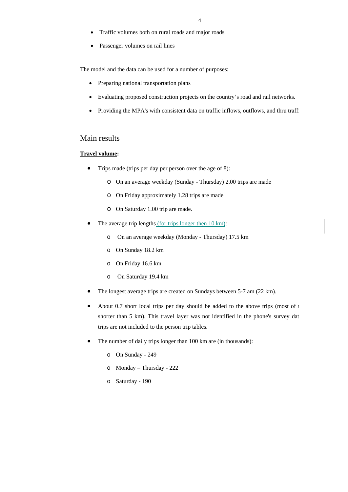- Traffic volumes both on rural roads and major roads
- Passenger volumes on rail lines

The model and the data can be used for a number of purposes:

- Preparing national transportation plans
- Evaluating proposed construction projects on the country's road and rail networks.
- Providing the MPA's with consistent data on traffic inflows, outflows, and thru traffi

## Main results

#### **Travel volume:**

- Trips made (trips per day per person over the age of 8):
	- o On an average weekday (Sunday Thursday) 2.00 trips are made
	- o On Friday approximately 1.28 trips are made
	- o On Saturday 1.00 trip are made.
- The average trip lengths (for trips longer then 10 km):
	- o On an average weekday (Monday Thursday) 17.5 km
	- o On Sunday 18.2 km
	- o On Friday 16.6 km
	- o On Saturday 19.4 km
- The longest average trips are created on Sundays between 5-7 am (22 km).
- About 0.7 short local trips per day should be added to the above trips (most of  $t$ shorter than 5 km). This travel layer was not identified in the phone's survey dat trips are not included to the person trip tables.
- The number of daily trips longer than 100 km are (in thousands):
	- o On Sunday 249
	- o Monday Thursday 222
	- o Saturday 190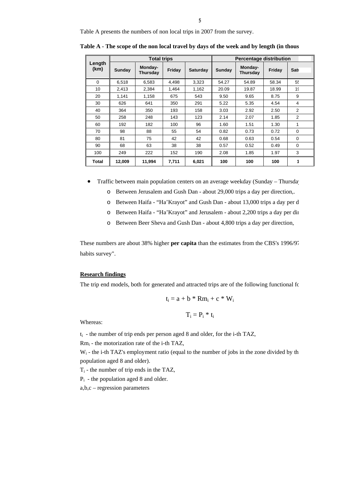Table A presents the numbers of non local trips in 2007 from the survey.

| Length<br>(km) | <b>Total trips</b> |                     |        |                 | <b>Percentage distribution</b> |                     |        |              |  |
|----------------|--------------------|---------------------|--------|-----------------|--------------------------------|---------------------|--------|--------------|--|
|                | Sunday             | Monday-<br>Thursday | Friday | <b>Saturday</b> | Sunday                         | Monday-<br>Thursday | Friday | <b>Sati</b>  |  |
| $\Omega$       | 6,518              | 6,583               | 4,498  | 3,323           | 54.27                          | 54.89               | 58.34  | 55           |  |
| 10             | 2,413              | 2,384               | 1.464  | 1,162           | 20.09                          | 19.87               | 18.99  | 15           |  |
| 20             | 1.141              | 1.158               | 675    | 543             | 9.50                           | 9.65                | 8.75   | 9            |  |
| 30             | 626                | 641                 | 350    | 291             | 5.22                           | 5.35                | 4.54   | 4            |  |
| 40             | 364                | 350                 | 193    | 158             | 3.03                           | 2.92                | 2.50   | 2            |  |
| 50             | 258                | 248                 | 143    | 123             | 2.14                           | 2.07                | 1.85   | 2            |  |
| 60             | 192                | 182                 | 100    | 96              | 1.60                           | 1.51                | 1.30   | $\mathbf{1}$ |  |
| 70             | 98                 | 88                  | 55     | 54              | 0.82                           | 0.73                | 0.72   | $\mathbf 0$  |  |
| 80             | 81                 | 75                  | 42     | 42              | 0.68                           | 0.63                | 0.54   | $\Omega$     |  |
| 90             | 68                 | 63                  | 38     | 38              | 0.57                           | 0.52                | 0.49   | $\Omega$     |  |
| 100            | 249                | 222                 | 152    | 190             | 2.08                           | 1.85                | 1.97   | 3            |  |
| Total          | 12,009             | 11,994              | 7,711  | 6,021           | 100                            | 100                 | 100    | 1            |  |

**Table A - The scope of the non local travel by days of the week and by length (in thous**

• Traffic between main population centers on an average weekday (Sunday – Thursday

- o Between Jerusalem and Gush Dan about 29,000 trips a day per direction,.
- o Between Haifa "Ha'Krayot" and Gush Dan about 13,000 trips a day per d
- o Between Haifa "Ha'Krayot" and Jerusalem about 2,200 trips a day per dir
- o Between Beer Sheva and Gush Dan about 4,800 trips a day per direction,

These numbers are about 38% higher **per capita** than the estimates from the CBS's 1996/97 habits survey".

#### **Research findings**

The trip end models, both for generated and attracted trips are of the following functional for

$$
t_i = a + b * Rm_i + c * W_i
$$

$$
T_i = P_i * t_i
$$

Whereas:

 $t_i$  - the number of trip ends per person aged 8 and older, for the i-th TAZ,

Rmi - the motorization rate of the i-th TAZ,

 $W_i$  - the i-th TAZ's employment ratio (equal to the number of jobs in the zone divided by th population aged 8 and older).

 $T_i$  - the number of trip ends in the TAZ,

Pi - the population aged 8 and older.

a,b,c – regression parameters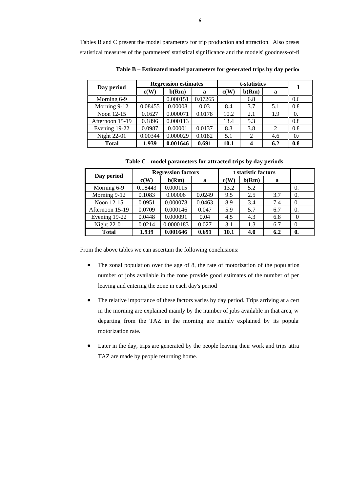Tables B and C present the model parameters for trip production and attraction. Also presen statistical measures of the parameters' statistical significance and the models' goodness-of-fi

| Day period         | <b>Regression estimates</b> |          |         | t-statistics |                |                |                       |
|--------------------|-----------------------------|----------|---------|--------------|----------------|----------------|-----------------------|
|                    | c(W)                        | b(Rm)    | a       | c(W)         | b(Rm)          | a              |                       |
| Morning 6-9        |                             | 0.000151 | 0.07265 |              | 6.8            |                | 0.6                   |
| Morning 9-12       | 0.08455                     | 0.00008  | 0.03    | 8.4          | 3.7            | 5.1            | $0.\xi$               |
| Noon 12-15         | 0.1627                      | 0.000071 | 0.0178  | 10.2         | 2.1            | 1.9            | 0.                    |
| Afternoon 15-19    | 0.1896                      | 0.000113 |         | 13.4         | 5.3            |                | $0.\xi$               |
| Evening 19-22      | 0.0987                      | 0.00001  | 0.0137  | 8.3          | 3.8            | $\overline{c}$ | $0.\xi$               |
| <b>Night 22-01</b> | 0.00344                     | 0.000029 | 0.0182  | 5.1          | $\overline{2}$ | 4.6            | $\overline{0}$ .      |
| <b>Total</b>       | 1.939                       | 0.001646 | 0.691   | 10.1         |                | 6.2            | $0.\overline{\delta}$ |

Table B – Estimated model parameters for generated trips by day period

**Table C - model parameters for attracted trips by day periods**

| Day period         |         | <b>Regression factors</b> | t statistic factors |      |       |     |            |
|--------------------|---------|---------------------------|---------------------|------|-------|-----|------------|
|                    | c(W)    | b(Rm)                     | a                   | c(W) | b(Rm) | a   |            |
| Morning 6-9        | 0.18443 | 0.000115                  |                     | 13.2 | 5.2   |     | 0.         |
| Morning 9-12       | 0.1083  | 0.00006                   | 0.0249              | 9.5  | 2.5   | 3.7 | 0.         |
| Noon 12-15         | 0.0951  | 0.000078                  | 0.0463              | 8.9  | 3.4   | 7.4 | 0.         |
| Afternoon 15-19    | 0.0709  | 0.000146                  | 0.047               | 5.9  | 5.7   | 6.7 | $\Omega$ . |
| Evening 19-22      | 0.0448  | 0.000091                  | 0.04                | 4.5  | 4.3   | 6.8 | $\Omega$   |
| <b>Night 22-01</b> | 0.0214  | 0.0000183                 | 0.027               | 3.1  | 1.3   | 6.7 | 0.         |
| <b>Total</b>       | 1.939   | 0.001646                  | 0.691               | 10.1 | 4.0   | 6.2 | 0.         |

From the above tables we can ascertain the following conclusions:

- The zonal population over the age of 8, the rate of motorization of the population number of jobs available in the zone provide good estimates of the number of per leaving and entering the zone in each day's period
- The relative importance of these factors varies by day period. Trips arriving at a cert in the morning are explained mainly by the number of jobs available in that area, w departing from the TAZ in the morning are mainly explained by its popula motorization rate.
- Later in the day, trips are generated by the people leaving their work and trips attra TAZ are made by people returning home.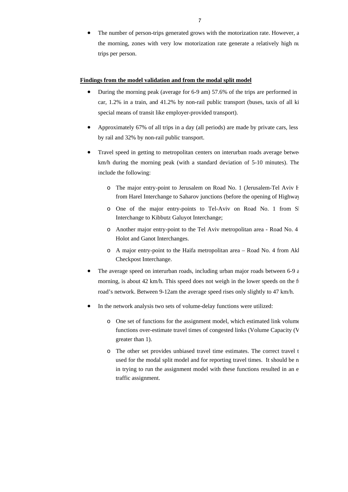The number of person-trips generated grows with the motorization rate. However, a the morning, zones with very low motorization rate generate a relatively high nu trips per person.

#### **Findings from the model validation and from the modal split model**

- During the morning peak (average for 6-9 am) 57.6% of the trips are performed in car, 1.2% in a train, and 41.2% by non-rail public transport (buses, taxis of all ki special means of transit like employer-provided transport).
- Approximately 67% of all trips in a day (all periods) are made by private cars, less by rail and 32% by non-rail public transport.
- Travel speed in getting to metropolitan centers on interurban roads average between km/h during the morning peak (with a standard deviation of 5-10 minutes). The include the following:
	- o The major entry-point to Jerusalem on Road No. 1 (Jerusalem-Tel Aviv H from Harel Interchange to Saharov junctions (before the opening of Highway
	- o One of the major entry-points to Tel-Aviv on Road No. 1 from Sl Interchange to Kibbutz Galuyot Interchange;
	- o Another major entry-point to the Tel Aviv metropolitan area Road No. 4 Holot and Ganot Interchanges.
	- o A major entry-point to the Haifa metropolitan area Road No. 4 from Akk Checkpost Interchange.
- The average speed on interurban roads, including urban major roads between 6-9 a morning, is about 42 km/h. This speed does not weigh in the lower speeds on the f road's network. Between 9-12am the average speed rises only slightly to 47 km/h.
- In the network analysis two sets of volume-delay functions were utilized:
	- o One set of functions for the assignment model, which estimated link volume functions over-estimate travel times of congested links (Volume Capacity (V greater than 1).
	- o The other set provides unbiased travel time estimates. The correct travel t used for the modal split model and for reporting travel times. It should be n in trying to run the assignment model with these functions resulted in an e traffic assignment.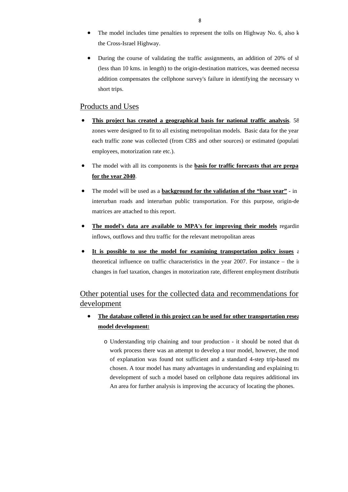- The model includes time penalties to represent the tolls on Highway No. 6, also k the Cross-Israel Highway.
- During the course of validating the traffic assignments, an addition of 20% of sh (less than 10 kms. in length) to the origin-destination matrices, was deemed necessa addition compensates the cellphone survey's failure in identifying the necessary volumes short trips.

## Products and Uses

- **This project has created a geographical basis for national traffic analysis**. 58 zones were designed to fit to all existing metropolitan models. Basic data for the year each traffic zone was collected (from CBS and other sources) or estimated (populati employees, motorization rate etc.).
- The model with all its components is the **basis for traffic forecasts that are prepa for the year 2040**.
- The model will be used as a **background for the validation of the "base year"** in interurban roads and interurban public transportation. For this purpose, origin-de matrices are attached to this report.
- **The model's data are available to MPA's for improving their models** regardin inflows, outflows and thru traffic for the relevant metropolitan areas
- **It is possible to use the model for examining transportation policy issues** a theoretical influence on traffic characteristics in the year 2007. For instance – the in changes in fuel taxation, changes in motorization rate, different employment distributio

## Other potential uses for the collected data and recommendations for development

- **The database colleted in this project can be used for other transportation resea model development:** 
	- o Understanding trip chaining and tour production it should be noted that du work process there was an attempt to develop a tour model, however, the mod of explanation was found not sufficient and a standard 4-step trip-based mo chosen. A tour model has many advantages in understanding and explaining tra development of such a model based on cellphone data requires additional inv An area for further analysis is improving the accuracy of locating the phones.